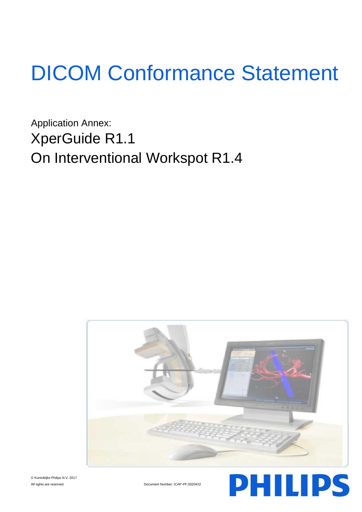# DICOM Conformance Statement

Application Annex: XperGuide R1.1 On Interventional Workspot R1.4



© Koninklijke Philips N.V. 2017

All rights are reserved. <br>
Document Number: ICAP-PF.0020422

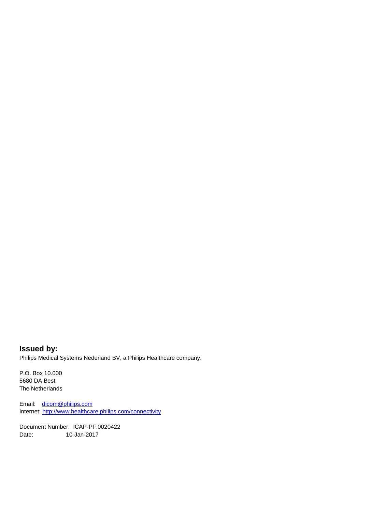## **Issued by:** Philips Medical Systems Nederland BV, a Philips Healthcare company,

P.O. Box 10.000 5680 DA Best The Netherlands

Email: [dicom@philips.com](mailto:dicom@philips.com) Internet[: http://www.healthcare.philips.com/connectivity](http://www.healthcare.philips.com/connectivity)

Document Number: ICAP-PF.0020422 Date: 10-Jan-2017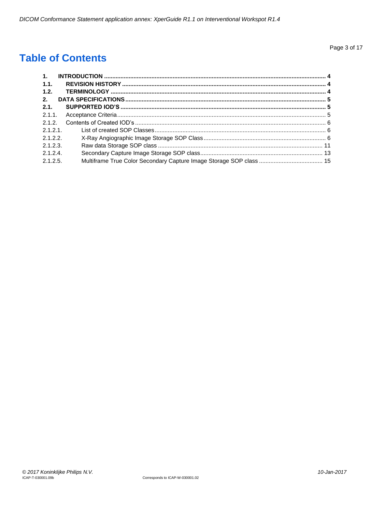# **Table of Contents**

| 1.1.        |  |
|-------------|--|
| 1.2.        |  |
| 2.          |  |
| 2.1.        |  |
|             |  |
|             |  |
| $2.1.2.1$ . |  |
| 2.1.2.2.    |  |
| 2.1.2.3.    |  |
| $2.1.2.4$ . |  |
| 2.1.2.5.    |  |
|             |  |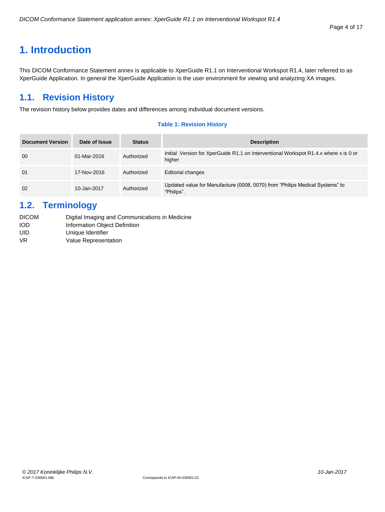# <span id="page-3-0"></span>**1. Introduction**

This DICOM Conformance Statement annex is applicable to XperGuide R1.1 on Interventional Workspot R1.4, later referred to as XperGuide Application. In general the XperGuide Application is the user environment for viewing and analyzing XA images.

# <span id="page-3-1"></span>**1.1. Revision History**

The revision history below provides dates and differences among individual document versions.

#### **Table 1: Revision History**

| <b>Document Version</b> | Date of Issue | <b>Status</b> | <b>Description</b>                                                                             |
|-------------------------|---------------|---------------|------------------------------------------------------------------------------------------------|
| 00                      | 01-Mar-2016   | Authorized    | Initial Version for XperGuide R1.1 on Interventional Workspot R1.4.x where x is 0 or<br>higher |
| 01                      | 17-Nov-2016   | Authorized    | <b>Editorial changes</b>                                                                       |
| 02                      | 10-Jan-2017   | Authorized    | Updated value for Manufacture (0008, 0070) from "Philips Medical Systems" to<br>"Philips".     |

# <span id="page-3-2"></span>**1.2. Terminology**

| <b>DICOM</b> | Digital Imaging and Communications in Medicine |
|--------------|------------------------------------------------|
| <b>IOD</b>   | Information Object Definition                  |
| UID          | Unique Identifier                              |
| VR.          | Value Representation                           |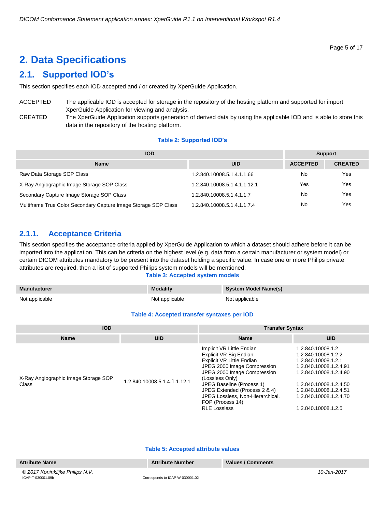# <span id="page-4-0"></span>**2. Data Specifications**

# <span id="page-4-1"></span>**2.1. Supported IOD's**

This section specifies each IOD accepted and / or created by XperGuide Application.

ACCEPTED The applicable IOD is accepted for storage in the repository of the hosting platform and supported for import XperGuide Application for viewing and analysis.

CREATED The XperGuide Application supports generation of derived data by using the applicable IOD and is able to store this data in the repository of the hosting platform.

#### **Table 2: Supported IOD's**

| <b>IOD</b>                                                      |                              |                 | <b>Support</b> |  |
|-----------------------------------------------------------------|------------------------------|-----------------|----------------|--|
| <b>Name</b>                                                     | <b>UID</b>                   | <b>ACCEPTED</b> | <b>CREATED</b> |  |
| Raw Data Storage SOP Class                                      | 1.2.840.10008.5.1.4.1.1.66   | No              | Yes            |  |
| X-Ray Angiographic Image Storage SOP Class                      | 1.2.840.10008.5.1.4.1.1.12.1 | Yes             | Yes            |  |
| Secondary Capture Image Storage SOP Class                       | 1.2.840.10008.5.1.4.1.1.7    | No              | Yes            |  |
| Multiframe True Color Secondary Capture Image Storage SOP Class | 1.2.840.10008.5.1.4.1.1.7.4  | No              | Yes            |  |

# <span id="page-4-2"></span>**2.1.1. Acceptance Criteria**

This section specifies the acceptance criteria applied by XperGuide Application to which a dataset should adhere before it can be imported into the application. This can be criteria on the highest level (e.g. data from a certain manufacturer or system model) or certain DICOM attributes mandatory to be present into the dataset holding a specific value. In case one or more Philips private attributes are required, then a list of supported Philips system models will be mentioned.

#### **Table 3: Accepted system models**

| <b>Manufacturer</b> | <b>Modality</b> | <b>System Model Name(s)</b> |
|---------------------|-----------------|-----------------------------|
| Not applicable      | Not applicable  | Not applicable              |

#### **Table 4: Accepted transfer syntaxes per IOD**

| <b>IOD</b>                                    |                              | <b>Transfer Syntax</b>                                                                                                                                                                                                                                                                                                |                                                                                                                                                                                                                          |
|-----------------------------------------------|------------------------------|-----------------------------------------------------------------------------------------------------------------------------------------------------------------------------------------------------------------------------------------------------------------------------------------------------------------------|--------------------------------------------------------------------------------------------------------------------------------------------------------------------------------------------------------------------------|
| <b>Name</b>                                   | <b>UID</b>                   | <b>Name</b>                                                                                                                                                                                                                                                                                                           | <b>UID</b>                                                                                                                                                                                                               |
| X-Ray Angiographic Image Storage SOP<br>Class | 1.2.840.10008.5.1.4.1.1.12.1 | Implicit VR Little Endian<br>Explicit VR Big Endian<br><b>Explicit VR Little Endian</b><br>JPEG 2000 Image Compression<br>JPEG 2000 Image Compression<br>(Lossless Only)<br>JPEG Baseline (Process 1)<br>JPEG Extended (Process 2 & 4)<br>JPEG Lossless, Non-Hierarchical,<br>FOP (Process 14)<br><b>RLE Lossless</b> | 1.2.840.10008.1.2<br>1.2.840.10008.1.2.2<br>1.2.840.10008.1.2.1<br>1.2.840.10008.1.2.4.91<br>1.2.840.10008.1.2.4.90<br>1.2.840.10008.1.2.4.50<br>1.2.840.10008.1.2.4.51<br>1.2.840.10008.1.2.4.70<br>1.2.840.10008.1.2.5 |

#### **Table 5: Accepted attribute values**

| <b>Attribute Name</b>           | <b>Attribute Number</b>         | Values / Comments |             |
|---------------------------------|---------------------------------|-------------------|-------------|
| © 2017 Koninklijke Philips N.V. |                                 |                   | 10-Jan-2017 |
| ICAP-T-030001.09b               | Corresponds to ICAP-W-030001.02 |                   |             |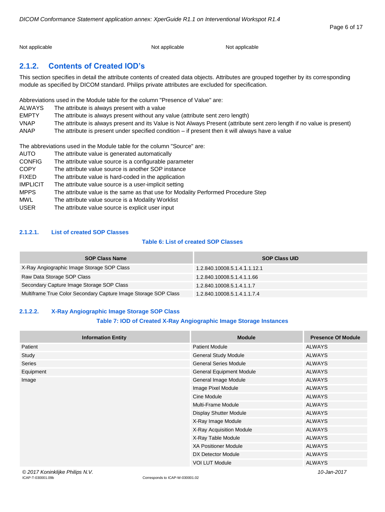Not applicable Not applicable Not applicable Not applicable Not applicable

# <span id="page-5-0"></span>**2.1.2. Contents of Created IOD's**

This section specifies in detail the attribute contents of created data objects. Attributes are grouped together by its corresponding module as specified by DICOM standard. Philips private attributes are excluded for specification.

Abbreviations used in the Module table for the column "Presence of Value" are:

| <b>ALWAYS</b> | The attribute is always present with a value                                                                            |
|---------------|-------------------------------------------------------------------------------------------------------------------------|
| <b>EMPTY</b>  | The attribute is always present without any value (attribute sent zero length)                                          |
| <b>VNAP</b>   | The attribute is always present and its Value is Not Always Present (attribute sent zero length if no value is present) |
| ANAP          | The attribute is present under specified condition – if present then it will always have a value                        |

The abbreviations used in the Module table for the column "Source" are:

| <b>AUTO</b>     | The attribute value is generated automatically                                    |
|-----------------|-----------------------------------------------------------------------------------|
| <b>CONFIG</b>   | The attribute value source is a configurable parameter                            |
| <b>COPY</b>     | The attribute value source is another SOP instance                                |
| <b>FIXED</b>    | The attribute value is hard-coded in the application                              |
| <b>IMPLICIT</b> | The attribute value source is a user-implicit setting                             |
| <b>MPPS</b>     | The attribute value is the same as that use for Modality Performed Procedure Step |
| MWL             | The attribute value source is a Modality Worklist                                 |
| <b>USER</b>     | The attribute value source is explicit user input                                 |

#### <span id="page-5-1"></span>**2.1.2.1. List of created SOP Classes**

## **Table 6: List of created SOP Classes**

| <b>SOP Class Name</b>                                           | <b>SOP Class UID</b>         |
|-----------------------------------------------------------------|------------------------------|
| X-Ray Angiographic Image Storage SOP Class                      | 1.2.840.10008.5.1.4.1.1.12.1 |
| Raw Data Storage SOP Class                                      | 1.2.840.10008.5.1.4.1.1.66   |
| Secondary Capture Image Storage SOP Class                       | 1.2.840.10008.5.1.4.1.1.7    |
| Multiframe True Color Secondary Capture Image Storage SOP Class | 1.2.840.10008.5.1.4.1.1.7.4  |

#### <span id="page-5-2"></span>**2.1.2.2. X-Ray Angiographic Image Storage SOP Class**

#### **Table 7: IOD of Created X-Ray Angiographic Image Storage Instances**

| <b>Information Entity</b> | <b>Module</b>                   | <b>Presence Of Module</b> |
|---------------------------|---------------------------------|---------------------------|
| Patient                   | <b>Patient Module</b>           | <b>ALWAYS</b>             |
| Study                     | <b>General Study Module</b>     | <b>ALWAYS</b>             |
| <b>Series</b>             | <b>General Series Module</b>    | <b>ALWAYS</b>             |
| Equipment                 | <b>General Equipment Module</b> | <b>ALWAYS</b>             |
| Image                     | General Image Module            | <b>ALWAYS</b>             |
|                           | Image Pixel Module              | <b>ALWAYS</b>             |
|                           | Cine Module                     | <b>ALWAYS</b>             |
|                           | <b>Multi-Frame Module</b>       | <b>ALWAYS</b>             |
|                           | <b>Display Shutter Module</b>   | <b>ALWAYS</b>             |
|                           | X-Ray Image Module              | <b>ALWAYS</b>             |
|                           | X-Ray Acquisition Module        | <b>ALWAYS</b>             |
|                           | X-Ray Table Module              | <b>ALWAYS</b>             |
|                           | <b>XA Positioner Module</b>     | <b>ALWAYS</b>             |
|                           | DX Detector Module              | <b>ALWAYS</b>             |
|                           | <b>VOI LUT Module</b>           | <b>ALWAYS</b>             |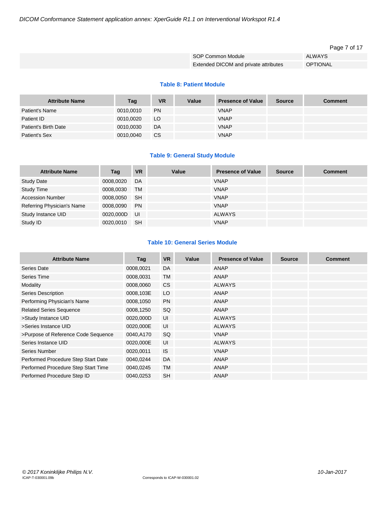#### Page 7 of 17

| SOP Common Module                     | ALWAYS          |
|---------------------------------------|-----------------|
| Extended DICOM and private attributes | <b>OPTIONAL</b> |

#### **Table 8: Patient Module**

| <b>Attribute Name</b> | Tag       | <b>VR</b> | Value | <b>Presence of Value</b> | <b>Source</b> | <b>Comment</b> |
|-----------------------|-----------|-----------|-------|--------------------------|---------------|----------------|
| Patient's Name        | 0010.0010 | <b>PN</b> |       | <b>VNAP</b>              |               |                |
| Patient ID            | 0010.0020 | LO.       |       | <b>VNAP</b>              |               |                |
| Patient's Birth Date  | 0010,0030 | DA        |       | <b>VNAP</b>              |               |                |
| Patient's Sex         | 0010,0040 | <b>CS</b> |       | <b>VNAP</b>              |               |                |

#### **Table 9: General Study Module**

| <b>Attribute Name</b>      | Tag       | <b>VR</b> | Value | <b>Presence of Value</b> | <b>Source</b> | <b>Comment</b> |
|----------------------------|-----------|-----------|-------|--------------------------|---------------|----------------|
| <b>Study Date</b>          | 0008,0020 | DA        |       | <b>VNAP</b>              |               |                |
| <b>Study Time</b>          | 0008,0030 | <b>TM</b> |       | <b>VNAP</b>              |               |                |
| <b>Accession Number</b>    | 0008,0050 | <b>SH</b> |       | <b>VNAP</b>              |               |                |
| Referring Physician's Name | 0008,0090 | <b>PN</b> |       | <b>VNAP</b>              |               |                |
| Study Instance UID         | 0020,000D | <b>UI</b> |       | ALWAYS                   |               |                |
| Study ID                   | 0020,0010 | <b>SH</b> |       | <b>VNAP</b>              |               |                |

#### **Table 10: General Series Module**

| <b>Attribute Name</b>               | Tag       | <b>VR</b> | Value | <b>Presence of Value</b> | <b>Source</b> | <b>Comment</b> |
|-------------------------------------|-----------|-----------|-------|--------------------------|---------------|----------------|
| Series Date                         | 0008,0021 | <b>DA</b> |       | <b>ANAP</b>              |               |                |
| Series Time                         | 0008,0031 | <b>TM</b> |       | <b>ANAP</b>              |               |                |
| Modality                            | 0008,0060 | <b>CS</b> |       | <b>ALWAYS</b>            |               |                |
| <b>Series Description</b>           | 0008,103E | LO        |       | <b>ANAP</b>              |               |                |
| Performing Physician's Name         | 0008,1050 | <b>PN</b> |       | <b>ANAP</b>              |               |                |
| <b>Related Series Sequence</b>      | 0008,1250 | SQ        |       | <b>ANAP</b>              |               |                |
| >Study Instance UID                 | 0020,000D | UI        |       | <b>ALWAYS</b>            |               |                |
| >Series Instance UID                | 0020,000E | UI        |       | <b>ALWAYS</b>            |               |                |
| >Purpose of Reference Code Sequence | 0040,A170 | SQ        |       | <b>VNAP</b>              |               |                |
| Series Instance UID                 | 0020,000E | UI        |       | <b>ALWAYS</b>            |               |                |
| Series Number                       | 0020,0011 | <b>IS</b> |       | <b>VNAP</b>              |               |                |
| Performed Procedure Step Start Date | 0040,0244 | <b>DA</b> |       | <b>ANAP</b>              |               |                |
| Performed Procedure Step Start Time | 0040,0245 | <b>TM</b> |       | <b>ANAP</b>              |               |                |
| Performed Procedure Step ID         | 0040,0253 | <b>SH</b> |       | <b>ANAP</b>              |               |                |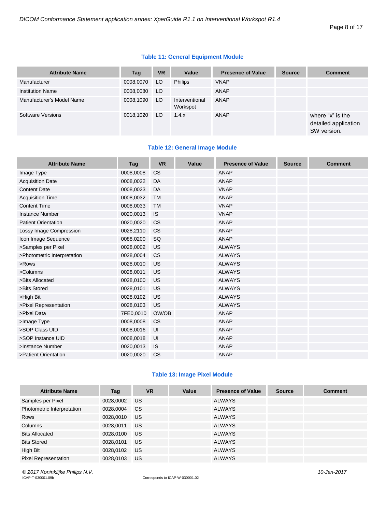#### **Table 11: General Equipment Module**

| <b>Attribute Name</b>     | Tag       | <b>VR</b> | Value                      | <b>Presence of Value</b> | <b>Source</b> | <b>Comment</b>                                          |
|---------------------------|-----------|-----------|----------------------------|--------------------------|---------------|---------------------------------------------------------|
| Manufacturer              | 0008,0070 | LO        | <b>Philips</b>             | <b>VNAP</b>              |               |                                                         |
| <b>Institution Name</b>   | 0008,0080 | LO.       |                            | <b>ANAP</b>              |               |                                                         |
| Manufacturer's Model Name | 0008,1090 | LO.       | Interventional<br>Workspot | ANAP                     |               |                                                         |
| Software Versions         | 0018,1020 | LO.       | 1.4.x                      | ANAP                     |               | where "x" is the<br>detailed application<br>SW version. |

### **Table 12: General Image Module**

| <b>Attribute Name</b>       | Tag       | <b>VR</b> | Value | <b>Presence of Value</b> | <b>Source</b> | <b>Comment</b> |
|-----------------------------|-----------|-----------|-------|--------------------------|---------------|----------------|
| Image Type                  | 0008,0008 | <b>CS</b> |       | <b>ANAP</b>              |               |                |
| <b>Acquisition Date</b>     | 0008,0022 | DA        |       | <b>ANAP</b>              |               |                |
| <b>Content Date</b>         | 0008,0023 | DA        |       | <b>VNAP</b>              |               |                |
| <b>Acquisition Time</b>     | 0008,0032 | <b>TM</b> |       | <b>ANAP</b>              |               |                |
| <b>Content Time</b>         | 0008,0033 | <b>TM</b> |       | <b>VNAP</b>              |               |                |
| <b>Instance Number</b>      | 0020,0013 | IS        |       | <b>VNAP</b>              |               |                |
| <b>Patient Orientation</b>  | 0020,0020 | <b>CS</b> |       | <b>ANAP</b>              |               |                |
| Lossy Image Compression     | 0028,2110 | <b>CS</b> |       | <b>ANAP</b>              |               |                |
| Icon Image Sequence         | 0088,0200 | SQ        |       | <b>ANAP</b>              |               |                |
| >Samples per Pixel          | 0028,0002 | US        |       | <b>ALWAYS</b>            |               |                |
| >Photometric Interpretation | 0028,0004 | <b>CS</b> |       | <b>ALWAYS</b>            |               |                |
| >Rows                       | 0028,0010 | US        |       | <b>ALWAYS</b>            |               |                |
| >Columns                    | 0028,0011 | US        |       | <b>ALWAYS</b>            |               |                |
| >Bits Allocated             | 0028,0100 | US        |       | <b>ALWAYS</b>            |               |                |
| >Bits Stored                | 0028,0101 | US        |       | <b>ALWAYS</b>            |               |                |
| >High Bit                   | 0028,0102 | US        |       | <b>ALWAYS</b>            |               |                |
| >Pixel Representation       | 0028,0103 | US        |       | <b>ALWAYS</b>            |               |                |
| >Pixel Data                 | 7FE0,0010 | OW/OB     |       | ANAP                     |               |                |
| >Image Type                 | 0008,0008 | <b>CS</b> |       | <b>ANAP</b>              |               |                |
| >SOP Class UID              | 0008,0016 | UI        |       | <b>ANAP</b>              |               |                |
| >SOP Instance UID           | 0008,0018 | UI        |       | <b>ANAP</b>              |               |                |
| >Instance Number            | 0020,0013 | IS        |       | <b>ANAP</b>              |               |                |
| >Patient Orientation        | 0020,0020 | <b>CS</b> |       | <b>ANAP</b>              |               |                |

#### **Table 13: Image Pixel Module**

| <b>Attribute Name</b>       | Tag       | <b>VR</b> | Value | <b>Presence of Value</b> | <b>Source</b> | <b>Comment</b> |
|-----------------------------|-----------|-----------|-------|--------------------------|---------------|----------------|
| Samples per Pixel           | 0028,0002 | US.       |       | <b>ALWAYS</b>            |               |                |
| Photometric Interpretation  | 0028,0004 | CS.       |       | <b>ALWAYS</b>            |               |                |
| Rows                        | 0028,0010 | US        |       | <b>ALWAYS</b>            |               |                |
| Columns                     | 0028,0011 | US        |       | <b>ALWAYS</b>            |               |                |
| <b>Bits Allocated</b>       | 0028,0100 | US        |       | <b>ALWAYS</b>            |               |                |
| <b>Bits Stored</b>          | 0028,0101 | US        |       | <b>ALWAYS</b>            |               |                |
| High Bit                    | 0028,0102 | US        |       | <b>ALWAYS</b>            |               |                |
| <b>Pixel Representation</b> | 0028.0103 | <b>US</b> |       | <b>ALWAYS</b>            |               |                |

*© 2017 Koninklijke Philips N.V. 10-Jan-2017*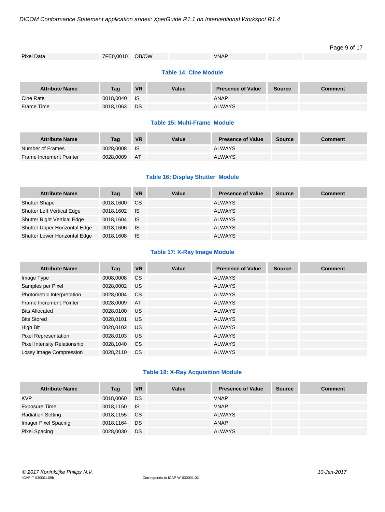| Pixel Data            | 7FE0,0010 | OB/OW     |       | <b>VNAP</b>              |               |                |
|-----------------------|-----------|-----------|-------|--------------------------|---------------|----------------|
|                       |           |           |       |                          |               |                |
| <b>Attribute Name</b> | Tag       | <b>VR</b> | Value | <b>Presence of Value</b> | <b>Source</b> | <b>Comment</b> |
| Cine Rate             | 0018,0040 | IS.       |       | ANAP                     |               |                |
| Frame Time            | 0018,1063 | DS        |       | <b>ALWAYS</b>            |               |                |
|                       |           |           |       |                          |               |                |

#### **Table 15: Multi-Frame Module**

| <b>Attribute Name</b>          | Taq       | <b>VR</b> | Value | <b>Presence of Value</b> | <b>Source</b> | Comment |
|--------------------------------|-----------|-----------|-------|--------------------------|---------------|---------|
| Number of Frames               | 0028.0008 | - IS      |       | <b>ALWAYS</b>            |               |         |
| <b>Frame Increment Pointer</b> | 0028.0009 | AT        |       | <b>ALWAYS</b>            |               |         |

#### **Table 16: Display Shutter Module**

| <b>Attribute Name</b>              | Tag          | <b>VR</b> | Value | <b>Presence of Value</b> | <b>Source</b> | <b>Comment</b> |
|------------------------------------|--------------|-----------|-------|--------------------------|---------------|----------------|
| <b>Shutter Shape</b>               | 0018,1600    | <b>CS</b> |       | <b>ALWAYS</b>            |               |                |
| <b>Shutter Left Vertical Edge</b>  | 0018,1602 IS |           |       | <b>ALWAYS</b>            |               |                |
| <b>Shutter Right Vertical Edge</b> | 0018.1604    | <b>IS</b> |       | <b>ALWAYS</b>            |               |                |
| Shutter Upper Horizontal Edge      | 0018,1606 IS |           |       | <b>ALWAYS</b>            |               |                |
| Shutter Lower Horizontal Edge      | 0018,1608    | <b>IS</b> |       | <b>ALWAYS</b>            |               |                |

#### **Table 17: X-Ray Image Module**

| <b>Attribute Name</b>               | Tag       | <b>VR</b> | Value | <b>Presence of Value</b> | <b>Source</b> | <b>Comment</b> |
|-------------------------------------|-----------|-----------|-------|--------------------------|---------------|----------------|
| Image Type                          | 0008,0008 | <b>CS</b> |       | <b>ALWAYS</b>            |               |                |
| Samples per Pixel                   | 0028,0002 | <b>US</b> |       | <b>ALWAYS</b>            |               |                |
| Photometric Interpretation          | 0028.0004 | <b>CS</b> |       | ALWAYS                   |               |                |
| <b>Frame Increment Pointer</b>      | 0028,0009 | AT        |       | <b>ALWAYS</b>            |               |                |
| <b>Bits Allocated</b>               | 0028,0100 | US.       |       | <b>ALWAYS</b>            |               |                |
| <b>Bits Stored</b>                  | 0028.0101 | <b>US</b> |       | <b>ALWAYS</b>            |               |                |
| High Bit                            | 0028.0102 | <b>US</b> |       | ALWAYS                   |               |                |
| <b>Pixel Representation</b>         | 0028,0103 | <b>US</b> |       | <b>ALWAYS</b>            |               |                |
| <b>Pixel Intensity Relationship</b> | 0028,1040 | <b>CS</b> |       | <b>ALWAYS</b>            |               |                |
| Lossy Image Compression             | 0028.2110 | <b>CS</b> |       | <b>ALWAYS</b>            |               |                |

#### **Table 18: X-Ray Acquisition Module**

| <b>Attribute Name</b>    | Tag       | <b>VR</b> | Value | <b>Presence of Value</b> | <b>Source</b> | <b>Comment</b> |
|--------------------------|-----------|-----------|-------|--------------------------|---------------|----------------|
| <b>KVP</b>               | 0018,0060 | DS        |       | <b>VNAP</b>              |               |                |
| Exposure Time            | 0018,1150 | ⊟ IS      |       | <b>VNAP</b>              |               |                |
| <b>Radiation Setting</b> | 0018,1155 | <b>CS</b> |       | <b>ALWAYS</b>            |               |                |
| Imager Pixel Spacing     | 0018,1164 | DS        |       | ANAP                     |               |                |
| <b>Pixel Spacing</b>     | 0028,0030 | DS        |       | <b>ALWAYS</b>            |               |                |

Page 9 of 17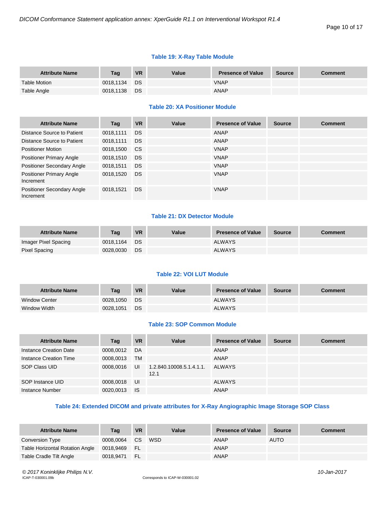## **Table 19: X-Ray Table Module**

| <b>Attribute Name</b> | Taq       | <b>VR</b> | Value | <b>Presence of Value</b> | <b>Source</b> | <b>Comment</b> |
|-----------------------|-----------|-----------|-------|--------------------------|---------------|----------------|
| Table Motion          | 0018.1134 | DS.       |       | <b>VNAP</b>              |               |                |
| Table Angle           | 0018.1138 | <b>DS</b> |       | ANAP                     |               |                |

## **Table 20: XA Positioner Module**

| <b>Attribute Name</b>                        | Tag       | <b>VR</b> | Value | <b>Presence of Value</b> | <b>Source</b> | <b>Comment</b> |
|----------------------------------------------|-----------|-----------|-------|--------------------------|---------------|----------------|
| Distance Source to Patient                   | 0018,1111 | <b>DS</b> |       | ANAP                     |               |                |
| Distance Source to Patient                   | 0018,1111 | <b>DS</b> |       | ANAP                     |               |                |
| <b>Positioner Motion</b>                     | 0018,1500 | <b>CS</b> |       | <b>VNAP</b>              |               |                |
| <b>Positioner Primary Angle</b>              | 0018,1510 | <b>DS</b> |       | <b>VNAP</b>              |               |                |
| Positioner Secondary Angle                   | 0018,1511 | <b>DS</b> |       | <b>VNAP</b>              |               |                |
| <b>Positioner Primary Angle</b><br>Increment | 0018,1520 | <b>DS</b> |       | <b>VNAP</b>              |               |                |
| Positioner Secondary Angle<br>Increment      | 0018.1521 | <b>DS</b> |       | <b>VNAP</b>              |               |                |

#### **Table 21: DX Detector Module**

| <b>Attribute Name</b> | Taq       | <b>VR</b> | Value | <b>Presence of Value</b> | Source | Comment |
|-----------------------|-----------|-----------|-------|--------------------------|--------|---------|
| Imager Pixel Spacing  | 0018.1164 | <b>DS</b> |       | <b>ALWAYS</b>            |        |         |
| Pixel Spacing         | 0028.0030 | <b>DS</b> |       | <b>ALWAYS</b>            |        |         |

#### **Table 22: VOI LUT Module**

| <b>Attribute Name</b> | Taq       | <b>VR</b> | Value | <b>Presence of Value</b> | <b>Source</b> | Comment |
|-----------------------|-----------|-----------|-------|--------------------------|---------------|---------|
| <b>Window Center</b>  | 0028.1050 | <b>DS</b> |       | <b>ALWAYS</b>            |               |         |
| Window Width          | 0028.1051 | DS.       |       | <b>ALWAYS</b>            |               |         |

#### **Table 23: SOP Common Module**

| <b>Attribute Name</b>  | Tag       | <b>VR</b> | Value                            | <b>Presence of Value</b> | <b>Source</b> | <b>Comment</b> |
|------------------------|-----------|-----------|----------------------------------|--------------------------|---------------|----------------|
| Instance Creation Date | 0008.0012 | DA        |                                  | ANAP                     |               |                |
| Instance Creation Time | 0008,0013 | <b>TM</b> |                                  | ANAP                     |               |                |
| SOP Class UID          | 0008,0016 | UI        | 1.2.840.10008.5.1.4.1.1.<br>12.1 | <b>ALWAYS</b>            |               |                |
| SOP Instance UID       | 0008.0018 | UI        |                                  | <b>ALWAYS</b>            |               |                |
| Instance Number        | 0020,0013 | <b>IS</b> |                                  | <b>ANAP</b>              |               |                |

#### **Table 24: Extended DICOM and private attributes for X-Ray Angiographic Image Storage SOP Class**

| <b>Attribute Name</b>           | Tag       | <b>VR</b> | Value | <b>Presence of Value</b> | Source      | <b>Comment</b> |
|---------------------------------|-----------|-----------|-------|--------------------------|-------------|----------------|
| Conversion Type                 | 0008.0064 | CS.       | WSD   | <b>ANAP</b>              | <b>AUTO</b> |                |
| Table Horizontal Rotation Angle | 0018,9469 | N FL      |       | ANAP                     |             |                |
| Table Cradle Tilt Angle         | 0018,9471 | -FL       |       | <b>ANAP</b>              |             |                |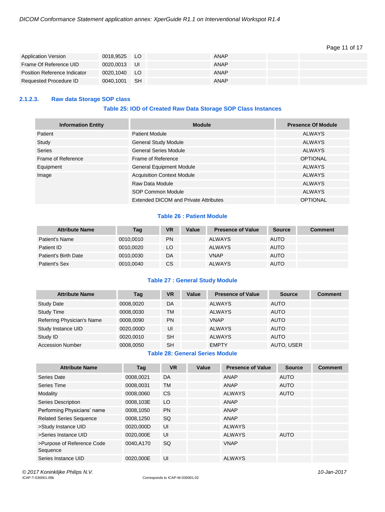#### Page 11 of 17

| <b>Application Version</b>   | 0018,9525 LO |      | ANAP        |  |
|------------------------------|--------------|------|-------------|--|
| Frame Of Reference UID       | 0020.0013 UI |      | ANAP        |  |
| Position Reference Indicator | 0020.1040    | - LO | <b>ANAP</b> |  |
| Requested Procedure ID       | 0040.1001    | - SH | ANAP        |  |

#### <span id="page-10-0"></span>**2.1.2.3. Raw data Storage SOP class**

#### **Table 25: IOD of Created Raw Data Storage SOP Class Instances**

| <b>Information Entity</b> | <b>Module</b>                         | <b>Presence Of Module</b> |
|---------------------------|---------------------------------------|---------------------------|
| Patient                   | <b>Patient Module</b>                 | <b>ALWAYS</b>             |
| Study                     | <b>General Study Module</b>           | ALWAYS                    |
| <b>Series</b>             | <b>General Series Module</b>          | <b>ALWAYS</b>             |
| Frame of Reference        | Frame of Reference                    | <b>OPTIONAL</b>           |
| Equipment                 | <b>General Equipment Module</b>       | ALWAYS                    |
| Image                     | <b>Acquisition Context Module</b>     | <b>ALWAYS</b>             |
|                           | Raw Data Module                       | <b>ALWAYS</b>             |
|                           | SOP Common Module                     | <b>ALWAYS</b>             |
|                           | Extended DICOM and Private Attributes | <b>OPTIONAL</b>           |

#### **Table 26 : Patient Module**

| <b>Attribute Name</b> | Tag       | <b>VR</b> | Value | <b>Presence of Value</b> | <b>Source</b> | <b>Comment</b> |
|-----------------------|-----------|-----------|-------|--------------------------|---------------|----------------|
| Patient's Name        | 0010.0010 | <b>PN</b> |       | <b>ALWAYS</b>            | <b>AUTO</b>   |                |
| Patient ID            | 0010.0020 | LO        |       | <b>ALWAYS</b>            | <b>AUTO</b>   |                |
| Patient's Birth Date  | 0010.0030 | DA        |       | <b>VNAP</b>              | <b>AUTO</b>   |                |
| Patient's Sex         | 0010,0040 | CS.       |       | <b>ALWAYS</b>            | <b>AUTO</b>   |                |

#### **Table 27 : General Study Module**

| <b>Attribute Name</b>      | Tag       | <b>VR</b> | Value | <b>Presence of Value</b> | <b>Source</b> | <b>Comment</b> |
|----------------------------|-----------|-----------|-------|--------------------------|---------------|----------------|
| <b>Study Date</b>          | 0008.0020 | DA        |       | <b>ALWAYS</b>            | <b>AUTO</b>   |                |
| <b>Study Time</b>          | 0008.0030 | ТM        |       | <b>ALWAYS</b>            | <b>AUTO</b>   |                |
| Referring Physician's Name | 0008.0090 | <b>PN</b> |       | <b>VNAP</b>              | <b>AUTO</b>   |                |
| Study Instance UID         | 0020.000D | UI        |       | <b>ALWAYS</b>            | <b>AUTO</b>   |                |
| Study ID                   | 0020.0010 | SH        |       | <b>ALWAYS</b>            | <b>AUTO</b>   |                |
| <b>Accession Number</b>    | 0008,0050 | SH        |       | <b>FMPTY</b>             | AUTO, USER    |                |

#### **Table 28: General Series Module**

| <b>Attribute Name</b>                  | Tag       | <b>VR</b> | Value | <b>Presence of Value</b> | <b>Source</b> | <b>Comment</b> |
|----------------------------------------|-----------|-----------|-------|--------------------------|---------------|----------------|
| Series Date                            | 0008.0021 | DA        |       | <b>ANAP</b>              | <b>AUTO</b>   |                |
| Series Time                            | 0008,0031 | TМ        |       | ANAP                     | <b>AUTO</b>   |                |
| Modality                               | 0008.0060 | <b>CS</b> |       | <b>ALWAYS</b>            | <b>AUTO</b>   |                |
| <b>Series Description</b>              | 0008,103E | LO.       |       | ANAP                     |               |                |
| Performing Physicians' name            | 0008,1050 | <b>PN</b> |       | ANAP                     |               |                |
| <b>Related Series Sequence</b>         | 0008,1250 | <b>SQ</b> |       | ANAP                     |               |                |
| >Study Instance UID                    | 0020,000D | UI        |       | <b>ALWAYS</b>            |               |                |
| >Series Instance UID                   | 0020,000E | UI        |       | <b>ALWAYS</b>            | <b>AUTO</b>   |                |
| >Purpose of Reference Code<br>Sequence | 0040.A170 | <b>SQ</b> |       | <b>VNAP</b>              |               |                |
| Series Instance UID                    | 0020.000E | UI        |       | <b>ALWAYS</b>            |               |                |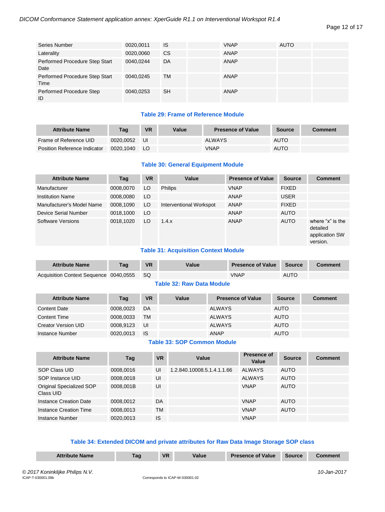| Series Number                          | 0020,0011 | IS        | <b>VNAP</b> | <b>AUTO</b> |  |
|----------------------------------------|-----------|-----------|-------------|-------------|--|
| Laterality                             | 0020,0060 | <b>CS</b> | <b>ANAP</b> |             |  |
| Performed Procedure Step Start<br>Date | 0040.0244 | DA        | <b>ANAP</b> |             |  |
| Performed Procedure Step Start<br>Time | 0040,0245 | ТM        | <b>ANAP</b> |             |  |
| Performed Procedure Step<br>ID         | 0040,0253 | <b>SH</b> | <b>ANAP</b> |             |  |

## **Table 29: Frame of Reference Module**

| <b>Attribute Name</b>        | Taq       | <b>VR</b> | Value | <b>Presence of Value</b> | <b>Source</b> | Comment |
|------------------------------|-----------|-----------|-------|--------------------------|---------------|---------|
| Frame of Reference UID       | 0020.0052 | UI        |       | <b>ALWAYS</b>            | <b>AUTO</b>   |         |
| Position Reference Indicator | 0020.1040 | LO.       |       | VNAP                     | <b>AUTO</b>   |         |

#### **Table 30: General Equipment Module**

| <b>Attribute Name</b>     | Tag       | <b>VR</b> | Value                   | <b>Presence of Value</b> | <b>Source</b> | <b>Comment</b>                                             |
|---------------------------|-----------|-----------|-------------------------|--------------------------|---------------|------------------------------------------------------------|
| Manufacturer              | 0008,0070 | LO        | <b>Philips</b>          | <b>VNAP</b>              | <b>FIXED</b>  |                                                            |
| <b>Institution Name</b>   | 0008,0080 | LO        |                         | <b>ANAP</b>              | <b>USER</b>   |                                                            |
| Manufacturer's Model Name | 0008,1090 | LO        | Interventional Workspot | <b>ANAP</b>              | <b>FIXED</b>  |                                                            |
| Device Serial Number      | 0018,1000 | LO        |                         | ANAP                     | <b>AUTO</b>   |                                                            |
| Software Versions         | 0018.1020 | LO        | 1.4.x                   | ANAP                     | <b>AUTO</b>   | where "x" is the<br>detailed<br>application SW<br>version. |

#### **Table 31: Acquisition Context Module**

| <b>Attribute Name</b>                  | Taq | <b>VR</b> | <b>Value</b> | <b>Presence of Value</b> | Source      | <b>Comment</b> |
|----------------------------------------|-----|-----------|--------------|--------------------------|-------------|----------------|
| Acquisition Context Sequence 0040,0555 |     | SQ.       |              | <b>VNAP</b>              | <b>AUTO</b> |                |

#### **Table 32: Raw Data Module**

| <b>Attribute Name</b>      | Tag       | <b>VR</b> | Value | <b>Presence of Value</b> | <b>Source</b> | <b>Comment</b> |
|----------------------------|-----------|-----------|-------|--------------------------|---------------|----------------|
| <b>Content Date</b>        | 0008.0023 | DA        |       | <b>ALWAYS</b>            | <b>AUTO</b>   |                |
| Content Time               | 0008,0033 | <b>TM</b> |       | <b>ALWAYS</b>            | <b>AUTO</b>   |                |
| <b>Creator Version UID</b> | 0008.9123 | UI        |       | <b>ALWAYS</b>            | <b>AUTO</b>   |                |
| Instance Number            | 0020,0013 | IS        |       | <b>ANAP</b>              | <b>AUTO</b>   |                |

#### **Table 33: SOP Common Module**

| <b>Attribute Name</b>                 | Tag       | <b>VR</b> | Value                      | Presence of<br>Value | <b>Source</b> | Comment |
|---------------------------------------|-----------|-----------|----------------------------|----------------------|---------------|---------|
| SOP Class UID                         | 0008.0016 | UI        | 1.2.840.10008.5.1.4.1.1.66 | <b>ALWAYS</b>        | <b>AUTO</b>   |         |
| SOP Instance UID                      | 0008,0018 | UI        |                            | <b>ALWAYS</b>        | <b>AUTO</b>   |         |
| Original Specialized SOP<br>Class UID | 0008.001B | UI        |                            | <b>VNAP</b>          | <b>AUTO</b>   |         |
| Instance Creation Date                | 0008.0012 | DA        |                            | <b>VNAP</b>          | <b>AUTO</b>   |         |
| Instance Creation Time                | 0008,0013 | <b>TM</b> |                            | <b>VNAP</b>          | <b>AUTO</b>   |         |
| Instance Number                       | 0020,0013 | <b>IS</b> |                            | <b>VNAP</b>          |               |         |

#### **Table 34: Extended DICOM and private attributes for Raw Data Image Storage SOP class**

| <b>Attribute Name</b> | ⊺ag | <b>VR</b> | Value | <b>Presence of Value</b> | <b>Source</b> | `omment |
|-----------------------|-----|-----------|-------|--------------------------|---------------|---------|
|                       |     |           |       |                          |               |         |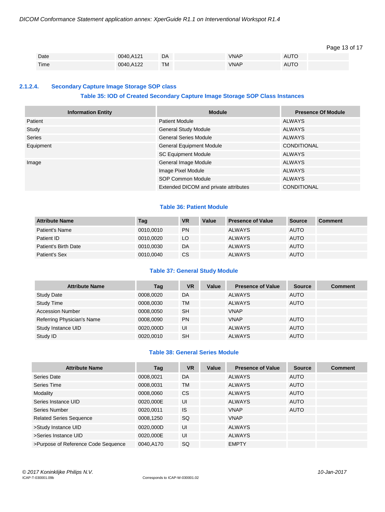#### Page 13 of 17

| Date | 0040,A121 | DA        | <b>VNAP</b> | <b>AUTO</b> |  |
|------|-----------|-----------|-------------|-------------|--|
| Time | 0040,A122 | <b>TM</b> | <b>VNAP</b> | <b>AUTO</b> |  |

#### <span id="page-12-0"></span>**2.1.2.4. Secondary Capture Image Storage SOP class**

#### **Table 35: IOD of Created Secondary Capture Image Storage SOP Class Instances**

| <b>Information Entity</b> | <b>Module</b>                         | <b>Presence Of Module</b> |
|---------------------------|---------------------------------------|---------------------------|
| Patient                   | <b>Patient Module</b>                 | <b>ALWAYS</b>             |
| Study                     | <b>General Study Module</b>           | <b>ALWAYS</b>             |
| Series                    | <b>General Series Module</b>          | <b>ALWAYS</b>             |
| Equipment                 | General Equipment Module              | <b>CONDITIONAL</b>        |
|                           | <b>SC Equipment Module</b>            | <b>ALWAYS</b>             |
| Image                     | General Image Module                  | <b>ALWAYS</b>             |
|                           | Image Pixel Module                    | <b>ALWAYS</b>             |
|                           | <b>SOP Common Module</b>              | <b>ALWAYS</b>             |
|                           | Extended DICOM and private attributes | <b>CONDITIONAL</b>        |

#### **Table 36: Patient Module**

| <b>Attribute Name</b> | Tag       | <b>VR</b> | Value | <b>Presence of Value</b> | Source      | <b>Comment</b> |
|-----------------------|-----------|-----------|-------|--------------------------|-------------|----------------|
| Patient's Name        | 0010.0010 | <b>PN</b> |       | ALWAYS                   | <b>AUTO</b> |                |
| Patient ID            | 0010,0020 | LO        |       | ALWAYS                   | <b>AUTO</b> |                |
| Patient's Birth Date  | 0010,0030 | DA        |       | <b>ALWAYS</b>            | <b>AUTO</b> |                |
| Patient's Sex         | 0010,0040 | CS        |       | <b>ALWAYS</b>            | <b>AUTO</b> |                |

#### **Table 37: General Study Module**

| <b>Attribute Name</b>      | Tag       | <b>VR</b> | Value | <b>Presence of Value</b> | <b>Source</b> | <b>Comment</b> |
|----------------------------|-----------|-----------|-------|--------------------------|---------------|----------------|
| <b>Study Date</b>          | 0008.0020 | DA        |       | <b>ALWAYS</b>            | <b>AUTO</b>   |                |
| <b>Study Time</b>          | 0008,0030 | <b>TM</b> |       | <b>ALWAYS</b>            | <b>AUTO</b>   |                |
| <b>Accession Number</b>    | 0008.0050 | <b>SH</b> |       | <b>VNAP</b>              |               |                |
| Referring Physician's Name | 0008,0090 | <b>PN</b> |       | <b>VNAP</b>              | <b>AUTO</b>   |                |
| Study Instance UID         | 0020,000D | UI        |       | <b>ALWAYS</b>            | <b>AUTO</b>   |                |
| Study ID                   | 0020.0010 | SH        |       | <b>ALWAYS</b>            | <b>AUTO</b>   |                |

#### **Table 38: General Series Module**

| <b>Attribute Name</b>               | Tag       | <b>VR</b> | Value | <b>Presence of Value</b> | <b>Source</b> | <b>Comment</b> |
|-------------------------------------|-----------|-----------|-------|--------------------------|---------------|----------------|
| Series Date                         | 0008,0021 | DA        |       | <b>ALWAYS</b>            | <b>AUTO</b>   |                |
| Series Time                         | 0008,0031 | <b>TM</b> |       | <b>ALWAYS</b>            | <b>AUTO</b>   |                |
| Modality                            | 0008,0060 | <b>CS</b> |       | <b>ALWAYS</b>            | <b>AUTO</b>   |                |
| Series Instance UID                 | 0020,000E | UI        |       | <b>ALWAYS</b>            | <b>AUTO</b>   |                |
| Series Number                       | 0020,0011 | IS        |       | <b>VNAP</b>              | <b>AUTO</b>   |                |
| <b>Related Series Sequence</b>      | 0008,1250 | <b>SQ</b> |       | <b>VNAP</b>              |               |                |
| >Study Instance UID                 | 0020,000D | UI        |       | <b>ALWAYS</b>            |               |                |
| >Series Instance UID                | 0020,000E | UI        |       | <b>ALWAYS</b>            |               |                |
| >Purpose of Reference Code Sequence | 0040.A170 | <b>SQ</b> |       | <b>EMPTY</b>             |               |                |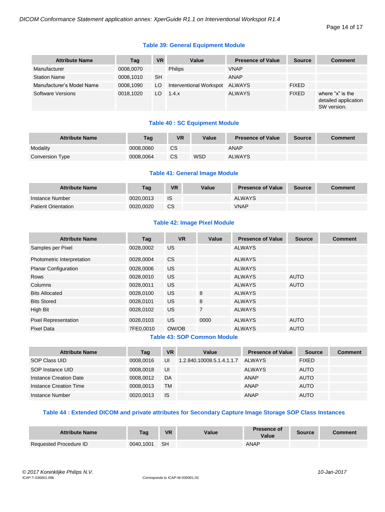Page 14 of 17

#### **Table 39: General Equipment Module**

| <b>Attribute Name</b>     | Tag       | <b>VR</b> | Value                   | <b>Presence of Value</b> | <b>Source</b> | <b>Comment</b>                                          |
|---------------------------|-----------|-----------|-------------------------|--------------------------|---------------|---------------------------------------------------------|
| Manufacturer              | 0008,0070 |           | <b>Philips</b>          | <b>VNAP</b>              |               |                                                         |
| <b>Station Name</b>       | 0008.1010 | <b>SH</b> |                         | <b>ANAP</b>              |               |                                                         |
| Manufacturer's Model Name | 0008.1090 | LO        | Interventional Workspot | ALWAYS                   | <b>FIXED</b>  |                                                         |
| <b>Software Versions</b>  | 0018.1020 | LO.       | 1.4.x                   | <b>ALWAYS</b>            | <b>FIXED</b>  | where "x" is the<br>detailed application<br>SW version. |

#### **Table 40 : SC Equipment Module**

| <b>Attribute Name</b> | Taq       | VR | Value      | <b>Presence of Value</b> | Source | Comment |
|-----------------------|-----------|----|------------|--------------------------|--------|---------|
| Modality              | 0008.0060 | СS |            | <b>ANAP</b>              |        |         |
| Conversion Type       | 0008.0064 | CS | <b>WSD</b> | <b>ALWAYS</b>            |        |         |

#### **Table 41: General Image Module**

| <b>Attribute Name</b>      | Tag       | <b>VR</b> | Value | <b>Presence of Value</b> | <b>Source</b> | <b>Comment</b> |
|----------------------------|-----------|-----------|-------|--------------------------|---------------|----------------|
| Instance Number            | 0020.0013 | IS        |       | <b>ALWAYS</b>            |               |                |
| <b>Patient Orientation</b> | 0020.0020 | <b>CS</b> |       | <b>VNAP</b>              |               |                |

#### **Table 42: Image Pixel Module**

| <b>Attribute Name</b>       | Tag       | <b>VR</b> | Value          | <b>Presence of Value</b> | <b>Source</b> | <b>Comment</b> |
|-----------------------------|-----------|-----------|----------------|--------------------------|---------------|----------------|
| Samples per Pixel           | 0028,0002 | US.       |                | <b>ALWAYS</b>            |               |                |
| Photometric Interpretation  | 0028.0004 | <b>CS</b> |                | ALWAYS                   |               |                |
| <b>Planar Configuration</b> | 0028,0006 | <b>US</b> |                | <b>ALWAYS</b>            |               |                |
| <b>Rows</b>                 | 0028,0010 | <b>US</b> |                | ALWAYS                   | <b>AUTO</b>   |                |
| Columns                     | 0028,0011 | <b>US</b> |                | ALWAYS                   | <b>AUTO</b>   |                |
| <b>Bits Allocated</b>       | 0028,0100 | <b>US</b> | 8              | ALWAYS                   |               |                |
| <b>Bits Stored</b>          | 0028,0101 | <b>US</b> | 8              | ALWAYS                   |               |                |
| High Bit                    | 0028,0102 | US.       | $\overline{7}$ | ALWAYS                   |               |                |
| <b>Pixel Representation</b> | 0028,0103 | <b>US</b> | 0000           | ALWAYS                   | <b>AUTO</b>   |                |
| <b>Pixel Data</b>           | 7FE0,0010 | OW/OB     |                | <b>ALWAYS</b>            | <b>AUTO</b>   |                |

#### **Table 43: SOP Common Module**

| <b>Attribute Name</b>  | Tag       | <b>VR</b> | Value                     | <b>Presence of Value</b> | <b>Source</b> | <b>Comment</b> |
|------------------------|-----------|-----------|---------------------------|--------------------------|---------------|----------------|
| SOP Class UID          | 0008.0016 | UI        | 1.2.840.10008.5.1.4.1.1.7 | <b>ALWAYS</b>            | <b>FIXED</b>  |                |
| SOP Instance UID       | 0008.0018 | UI        |                           | <b>ALWAYS</b>            | <b>AUTO</b>   |                |
| Instance Creation Date | 0008.0012 | DA        |                           | ANAP                     | <b>AUTO</b>   |                |
| Instance Creation Time | 0008.0013 | TM        |                           | ANAP                     | <b>AUTO</b>   |                |
| Instance Number        | 0020.0013 | <b>IS</b> |                           | <b>ANAP</b>              | <b>AUTO</b>   |                |

## **Table 44 : Extended DICOM and private attributes for Secondary Capture Image Storage SOP Class Instances**

| <b>Attribute Name</b>  | Tag       | <b>VR</b> | Value | <b>Presence of</b><br>Value | <b>Source</b> | <b>Comment</b> |
|------------------------|-----------|-----------|-------|-----------------------------|---------------|----------------|
| Requested Procedure ID | 0040.1001 | ⊟ SH      |       | ANAP                        |               |                |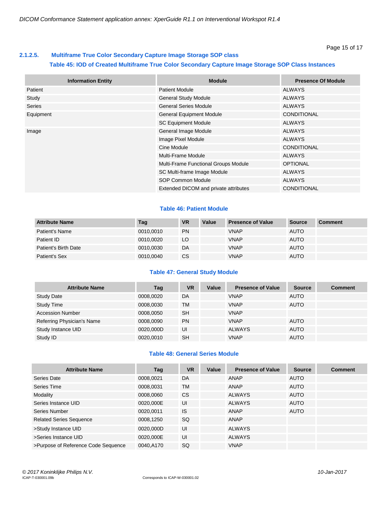## <span id="page-14-0"></span>**2.1.2.5. Multiframe True Color Secondary Capture Image Storage SOP class Table 45: IOD of Created Multiframe True Color Secondary Capture Image Storage SOP Class Instances**

| <b>Information Entity</b> | <b>Module</b>                         | <b>Presence Of Module</b> |
|---------------------------|---------------------------------------|---------------------------|
| Patient                   | <b>Patient Module</b>                 | ALWAYS                    |
| Study                     | <b>General Study Module</b>           | <b>ALWAYS</b>             |
| <b>Series</b>             | <b>General Series Module</b>          | <b>ALWAYS</b>             |
| Equipment                 | <b>General Equipment Module</b>       | CONDITIONAL               |
|                           | <b>SC Equipment Module</b>            | <b>ALWAYS</b>             |
| Image                     | General Image Module                  | <b>ALWAYS</b>             |
|                           | Image Pixel Module                    | <b>ALWAYS</b>             |
|                           | Cine Module                           | <b>CONDITIONAL</b>        |
|                           | Multi-Frame Module                    | <b>ALWAYS</b>             |
|                           | Multi-Frame Functional Groups Module  | <b>OPTIONAL</b>           |
|                           | SC Multi-frame Image Module           | <b>ALWAYS</b>             |
|                           | <b>SOP Common Module</b>              | <b>ALWAYS</b>             |
|                           | Extended DICOM and private attributes | <b>CONDITIONAL</b>        |

#### **Table 46: Patient Module**

| <b>Attribute Name</b> | Tag       | <b>VR</b> | Value | <b>Presence of Value</b> | <b>Source</b> | <b>Comment</b> |
|-----------------------|-----------|-----------|-------|--------------------------|---------------|----------------|
| Patient's Name        | 0010.0010 | <b>PN</b> |       | <b>VNAP</b>              | <b>AUTO</b>   |                |
| Patient ID            | 0010.0020 | LO        |       | <b>VNAP</b>              | <b>AUTO</b>   |                |
| Patient's Birth Date  | 0010.0030 | DA        |       | <b>VNAP</b>              | <b>AUTO</b>   |                |
| Patient's Sex         | 0010,0040 | CS        |       | <b>VNAP</b>              | <b>AUTO</b>   |                |

#### **Table 47: General Study Module**

| <b>Attribute Name</b>      | Tag       | <b>VR</b> | Value | <b>Presence of Value</b> | <b>Source</b> | <b>Comment</b> |
|----------------------------|-----------|-----------|-------|--------------------------|---------------|----------------|
| <b>Study Date</b>          | 0008.0020 | DA        |       | <b>VNAP</b>              | <b>AUTO</b>   |                |
| <b>Study Time</b>          | 0008,0030 | <b>TM</b> |       | <b>VNAP</b>              | <b>AUTO</b>   |                |
| <b>Accession Number</b>    | 0008.0050 | <b>SH</b> |       | <b>VNAP</b>              |               |                |
| Referring Physician's Name | 0008.0090 | <b>PN</b> |       | <b>VNAP</b>              | <b>AUTO</b>   |                |
| Study Instance UID         | 0020,000D | UI        |       | <b>ALWAYS</b>            | <b>AUTO</b>   |                |
| Study ID                   | 0020,0010 | SH        |       | <b>VNAP</b>              | <b>AUTO</b>   |                |

#### **Table 48: General Series Module**

| <b>Attribute Name</b>               | Tag       | <b>VR</b> | Value | <b>Presence of Value</b> | <b>Source</b> | <b>Comment</b> |
|-------------------------------------|-----------|-----------|-------|--------------------------|---------------|----------------|
| Series Date                         | 0008,0021 | DA        |       | <b>ANAP</b>              | <b>AUTO</b>   |                |
| Series Time                         | 0008,0031 | <b>TM</b> |       | ANAP                     | <b>AUTO</b>   |                |
| Modality                            | 0008,0060 | <b>CS</b> |       | <b>ALWAYS</b>            | <b>AUTO</b>   |                |
| Series Instance UID                 | 0020,000E | UI        |       | <b>ALWAYS</b>            | <b>AUTO</b>   |                |
| Series Number                       | 0020,0011 | <b>IS</b> |       | <b>ANAP</b>              | <b>AUTO</b>   |                |
| <b>Related Series Sequence</b>      | 0008,1250 | <b>SQ</b> |       | ANAP                     |               |                |
| >Study Instance UID                 | 0020,000D | UI        |       | <b>ALWAYS</b>            |               |                |
| >Series Instance UID                | 0020,000E | UI        |       | <b>ALWAYS</b>            |               |                |
| >Purpose of Reference Code Sequence | 0040.A170 | <b>SQ</b> |       | <b>VNAP</b>              |               |                |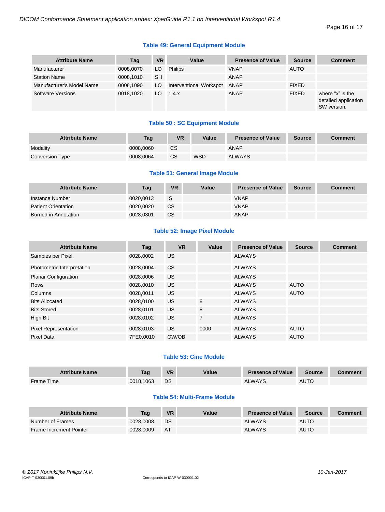Page 16 of 17

#### **Table 49: General Equipment Module**

| <b>Attribute Name</b>     | Tag       | <b>VR</b> | Value                   | <b>Presence of Value</b> | <b>Source</b> | <b>Comment</b>                                          |
|---------------------------|-----------|-----------|-------------------------|--------------------------|---------------|---------------------------------------------------------|
| Manufacturer              | 0008,0070 | LO.       | <b>Philips</b>          | <b>VNAP</b>              | <b>AUTO</b>   |                                                         |
| <b>Station Name</b>       | 0008.1010 | <b>SH</b> |                         | <b>ANAP</b>              |               |                                                         |
| Manufacturer's Model Name | 0008.1090 | LO        | Interventional Workspot | ANAP                     | <b>FIXED</b>  |                                                         |
| Software Versions         | 0018.1020 | LO.       | 1.4.x                   | ANAP                     | <b>FIXED</b>  | where "x" is the<br>detailed application<br>SW version. |

#### **Table 50 : SC Equipment Module**

| <b>Attribute Name</b> | Tag       | <b>VR</b> | Value      | <b>Presence of Value</b> | <b>Source</b> | Comment |
|-----------------------|-----------|-----------|------------|--------------------------|---------------|---------|
| Modality              | 0008.0060 | <b>CS</b> |            | ANAP                     |               |         |
| Conversion Type       | 0008.0064 | <b>CS</b> | <b>WSD</b> | <b>ALWAYS</b>            |               |         |

#### **Table 51: General Image Module**

| <b>Attribute Name</b>      | Tag       | <b>VR</b> | Value | <b>Presence of Value</b> | <b>Source</b> | <b>Comment</b> |
|----------------------------|-----------|-----------|-------|--------------------------|---------------|----------------|
| Instance Number            | 0020.0013 | <b>IS</b> |       | <b>VNAP</b>              |               |                |
| <b>Patient Orientation</b> | 0020.0020 | <b>CS</b> |       | <b>VNAP</b>              |               |                |
| Burned in Annotation       | 0028.0301 | <b>CS</b> |       | <b>ANAP</b>              |               |                |

#### **Table 52: Image Pixel Module**

| <b>Attribute Name</b>       | Tag       | <b>VR</b> | Value          | <b>Presence of Value</b> | <b>Source</b> | <b>Comment</b> |
|-----------------------------|-----------|-----------|----------------|--------------------------|---------------|----------------|
| Samples per Pixel           | 0028,0002 | <b>US</b> |                | <b>ALWAYS</b>            |               |                |
| Photometric Interpretation  | 0028,0004 | <b>CS</b> |                | <b>ALWAYS</b>            |               |                |
| <b>Planar Configuration</b> | 0028,0006 | <b>US</b> |                | <b>ALWAYS</b>            |               |                |
| <b>Rows</b>                 | 0028,0010 | <b>US</b> |                | <b>ALWAYS</b>            | <b>AUTO</b>   |                |
| Columns                     | 0028,0011 | <b>US</b> |                | ALWAYS                   | <b>AUTO</b>   |                |
| <b>Bits Allocated</b>       | 0028,0100 | <b>US</b> | 8              | ALWAYS                   |               |                |
| <b>Bits Stored</b>          | 0028,0101 | US.       | 8              | ALWAYS                   |               |                |
| High Bit                    | 0028,0102 | <b>US</b> | $\overline{7}$ | ALWAYS                   |               |                |
| <b>Pixel Representation</b> | 0028,0103 | <b>US</b> | 0000           | <b>ALWAYS</b>            | <b>AUTO</b>   |                |
| <b>Pixel Data</b>           | 7FE0,0010 | OW/OB     |                | <b>ALWAYS</b>            | <b>AUTO</b>   |                |

#### **Table 53: Cine Module**

| <b>Attribute Name</b> | Tag       | <b>VR</b> | Value | <b>Presence of Value</b> | <b>Source</b> | <b>Comment</b> |
|-----------------------|-----------|-----------|-------|--------------------------|---------------|----------------|
| Frame Time            | 0018.1063 | DS        |       | <b>ALWAYS</b>            | <b>AUTO</b>   |                |

#### **Table 54: Multi-Frame Module**

| <b>Attribute Name</b>          | Taq       | <b>VR</b> | Value | <b>Presence of Value</b> | <b>Source</b> | Comment |
|--------------------------------|-----------|-----------|-------|--------------------------|---------------|---------|
| Number of Frames               | 0028.0008 | DS        |       | <b>ALWAYS</b>            | <b>AUTO</b>   |         |
| <b>Frame Increment Pointer</b> | 0028.0009 | AT        |       | <b>ALWAYS</b>            | <b>AUTO</b>   |         |